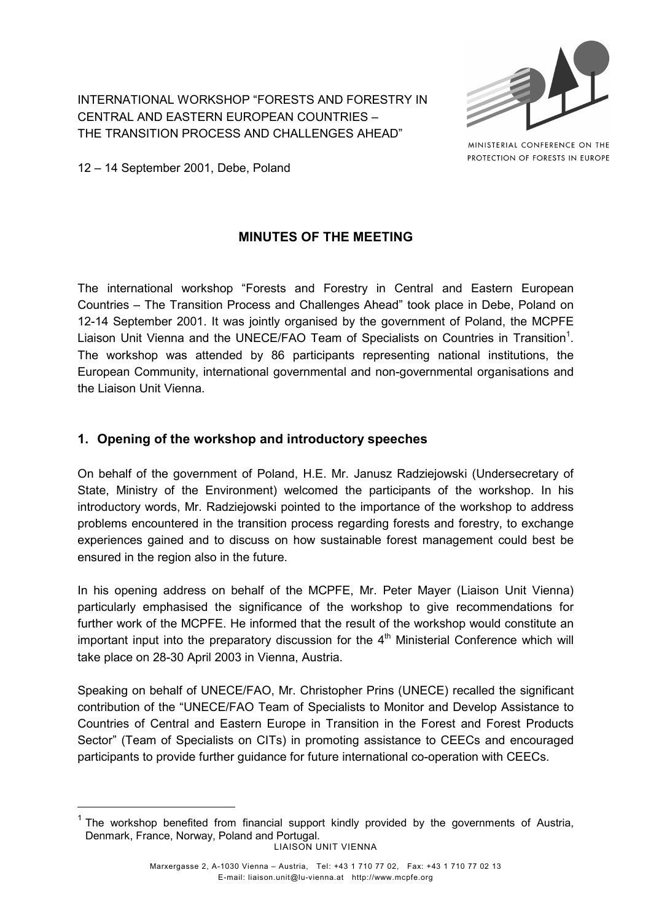INTERNATIONAL WORKSHOP "FORESTS AND FORESTRY IN CENTRAL AND EASTERN EUROPEAN COUNTRIES – THE TRANSITION PROCESS AND CHALLENGES AHEAD"



MINISTERIAL CONFERENCE ON THE PROTECTION OF FORESTS IN EUROPE

12 – 14 September 2001, Debe, Poland

## **MINUTES OF THE MEETING**

The international workshop "Forests and Forestry in Central and Eastern European Countries – The Transition Process and Challenges Ahead" took place in Debe, Poland on 12-14 September 2001. It was jointly organised by the government of Poland, the MCPFE Liaison Unit Vienna and the UNECE/FAO Team of Specialists on Countries in Transition<sup>1</sup>. The workshop was attended by 86 participants representing national institutions, the European Community, international governmental and non-governmental organisations and the Liaison Unit Vienna.

### **1. Opening of the workshop and introductory speeches**

On behalf of the government of Poland, H.E. Mr. Janusz Radziejowski (Undersecretary of State, Ministry of the Environment) welcomed the participants of the workshop. In his introductory words, Mr. Radziejowski pointed to the importance of the workshop to address problems encountered in the transition process regarding forests and forestry, to exchange experiences gained and to discuss on how sustainable forest management could best be ensured in the region also in the future.

In his opening address on behalf of the MCPFE, Mr. Peter Mayer (Liaison Unit Vienna) particularly emphasised the significance of the workshop to give recommendations for further work of the MCPFE. He informed that the result of the workshop would constitute an important input into the preparatory discussion for the  $4<sup>th</sup>$  Ministerial Conference which will take place on 28-30 April 2003 in Vienna, Austria.

Speaking on behalf of UNECE/FAO, Mr. Christopher Prins (UNECE) recalled the significant contribution of the "UNECE/FAO Team of Specialists to Monitor and Develop Assistance to Countries of Central and Eastern Europe in Transition in the Forest and Forest Products Sector" (Team of Specialists on CITs) in promoting assistance to CEECs and encouraged participants to provide further guidance for future international co-operation with CEECs.

LIAISON UNIT VIENNA  $1$  The workshop benefited from financial support kindly provided by the governments of Austria, Denmark, France, Norway, Poland and Portugal.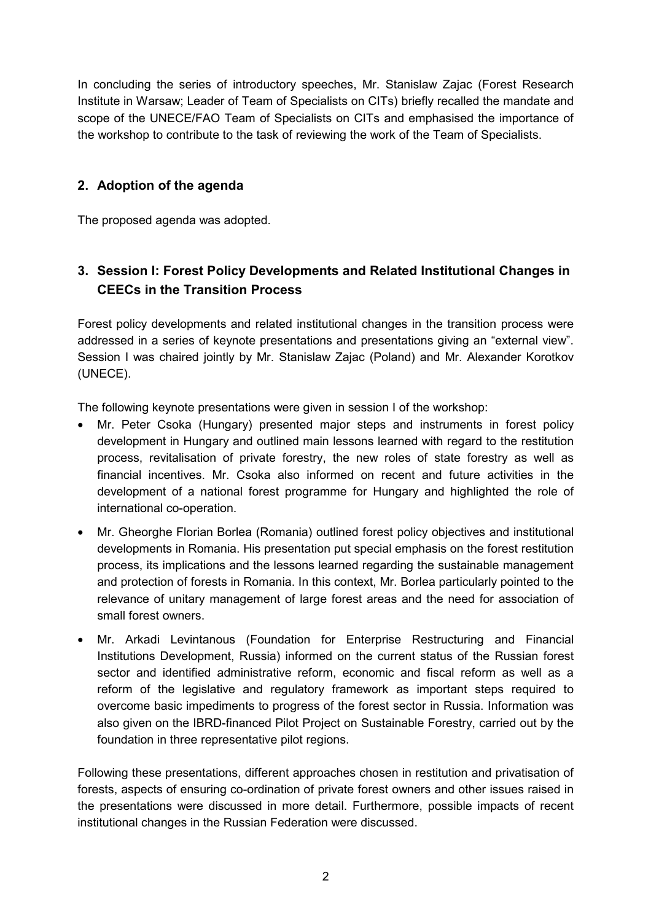In concluding the series of introductory speeches, Mr. Stanislaw Zajac (Forest Research Institute in Warsaw; Leader of Team of Specialists on CITs) briefly recalled the mandate and scope of the UNECE/FAO Team of Specialists on CITs and emphasised the importance of the workshop to contribute to the task of reviewing the work of the Team of Specialists.

### **2. Adoption of the agenda**

The proposed agenda was adopted.

## **3. Session I: Forest Policy Developments and Related Institutional Changes in CEECs in the Transition Process**

Forest policy developments and related institutional changes in the transition process were addressed in a series of keynote presentations and presentations giving an "external view". Session I was chaired jointly by Mr. Stanislaw Zajac (Poland) and Mr. Alexander Korotkov (UNECE).

The following keynote presentations were given in session I of the workshop:

- Mr. Peter Csoka (Hungary) presented major steps and instruments in forest policy development in Hungary and outlined main lessons learned with regard to the restitution process, revitalisation of private forestry, the new roles of state forestry as well as financial incentives. Mr. Csoka also informed on recent and future activities in the development of a national forest programme for Hungary and highlighted the role of international co-operation.
- Mr. Gheorghe Florian Borlea (Romania) outlined forest policy objectives and institutional developments in Romania. His presentation put special emphasis on the forest restitution process, its implications and the lessons learned regarding the sustainable management and protection of forests in Romania. In this context, Mr. Borlea particularly pointed to the relevance of unitary management of large forest areas and the need for association of small forest owners.
- Mr. Arkadi Levintanous (Foundation for Enterprise Restructuring and Financial Institutions Development, Russia) informed on the current status of the Russian forest sector and identified administrative reform, economic and fiscal reform as well as a reform of the legislative and regulatory framework as important steps required to overcome basic impediments to progress of the forest sector in Russia. Information was also given on the IBRD-financed Pilot Project on Sustainable Forestry, carried out by the foundation in three representative pilot regions.

Following these presentations, different approaches chosen in restitution and privatisation of forests, aspects of ensuring co-ordination of private forest owners and other issues raised in the presentations were discussed in more detail. Furthermore, possible impacts of recent institutional changes in the Russian Federation were discussed.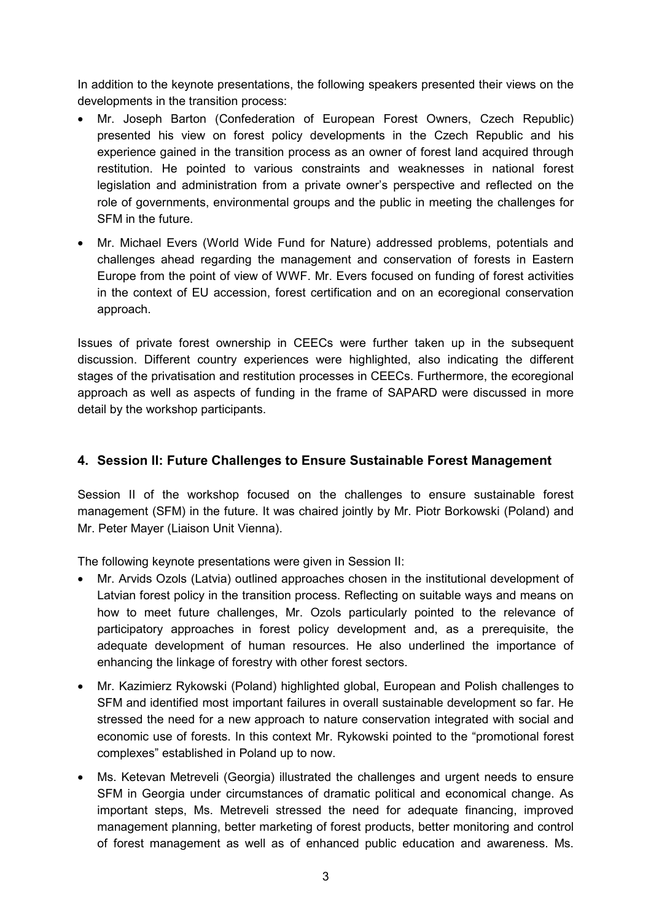In addition to the keynote presentations, the following speakers presented their views on the developments in the transition process:

- Mr. Joseph Barton (Confederation of European Forest Owners, Czech Republic) presented his view on forest policy developments in the Czech Republic and his experience gained in the transition process as an owner of forest land acquired through restitution. He pointed to various constraints and weaknesses in national forest legislation and administration from a private owner's perspective and reflected on the role of governments, environmental groups and the public in meeting the challenges for SFM in the future.
- Mr. Michael Evers (World Wide Fund for Nature) addressed problems, potentials and challenges ahead regarding the management and conservation of forests in Eastern Europe from the point of view of WWF. Mr. Evers focused on funding of forest activities in the context of EU accession, forest certification and on an ecoregional conservation approach.

Issues of private forest ownership in CEECs were further taken up in the subsequent discussion. Different country experiences were highlighted, also indicating the different stages of the privatisation and restitution processes in CEECs. Furthermore, the ecoregional approach as well as aspects of funding in the frame of SAPARD were discussed in more detail by the workshop participants.

### **4. Session II: Future Challenges to Ensure Sustainable Forest Management**

Session II of the workshop focused on the challenges to ensure sustainable forest management (SFM) in the future. It was chaired jointly by Mr. Piotr Borkowski (Poland) and Mr. Peter Mayer (Liaison Unit Vienna).

The following keynote presentations were given in Session II:

- Mr. Arvids Ozols (Latvia) outlined approaches chosen in the institutional development of Latvian forest policy in the transition process. Reflecting on suitable ways and means on how to meet future challenges, Mr. Ozols particularly pointed to the relevance of participatory approaches in forest policy development and, as a prerequisite, the adequate development of human resources. He also underlined the importance of enhancing the linkage of forestry with other forest sectors.
- Mr. Kazimierz Rykowski (Poland) highlighted global, European and Polish challenges to SFM and identified most important failures in overall sustainable development so far. He stressed the need for a new approach to nature conservation integrated with social and economic use of forests. In this context Mr. Rykowski pointed to the "promotional forest complexes" established in Poland up to now.
- Ms. Ketevan Metreveli (Georgia) illustrated the challenges and urgent needs to ensure SFM in Georgia under circumstances of dramatic political and economical change. As important steps, Ms. Metreveli stressed the need for adequate financing, improved management planning, better marketing of forest products, better monitoring and control of forest management as well as of enhanced public education and awareness. Ms.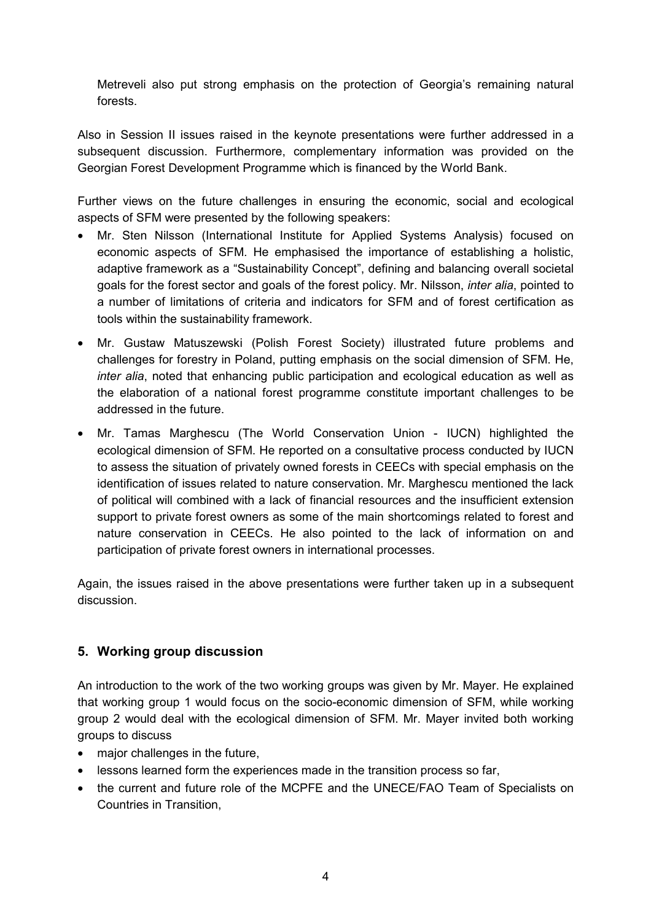Metreveli also put strong emphasis on the protection of Georgia's remaining natural forests.

Also in Session II issues raised in the keynote presentations were further addressed in a subsequent discussion. Furthermore, complementary information was provided on the Georgian Forest Development Programme which is financed by the World Bank.

Further views on the future challenges in ensuring the economic, social and ecological aspects of SFM were presented by the following speakers:

- Mr. Sten Nilsson (International Institute for Applied Systems Analysis) focused on economic aspects of SFM. He emphasised the importance of establishing a holistic, adaptive framework as a "Sustainability Concept", defining and balancing overall societal goals for the forest sector and goals of the forest policy. Mr. Nilsson, *inter alia*, pointed to a number of limitations of criteria and indicators for SFM and of forest certification as tools within the sustainability framework.
- Mr. Gustaw Matuszewski (Polish Forest Society) illustrated future problems and challenges for forestry in Poland, putting emphasis on the social dimension of SFM. He, *inter alia*, noted that enhancing public participation and ecological education as well as the elaboration of a national forest programme constitute important challenges to be addressed in the future.
- Mr. Tamas Marghescu (The World Conservation Union IUCN) highlighted the ecological dimension of SFM. He reported on a consultative process conducted by IUCN to assess the situation of privately owned forests in CEECs with special emphasis on the identification of issues related to nature conservation. Mr. Marghescu mentioned the lack of political will combined with a lack of financial resources and the insufficient extension support to private forest owners as some of the main shortcomings related to forest and nature conservation in CEECs. He also pointed to the lack of information on and participation of private forest owners in international processes.

Again, the issues raised in the above presentations were further taken up in a subsequent discussion.

### **5. Working group discussion**

An introduction to the work of the two working groups was given by Mr. Mayer. He explained that working group 1 would focus on the socio-economic dimension of SFM, while working group 2 would deal with the ecological dimension of SFM. Mr. Mayer invited both working groups to discuss

- major challenges in the future.
- lessons learned form the experiences made in the transition process so far,
- the current and future role of the MCPFE and the UNECE/FAO Team of Specialists on Countries in Transition,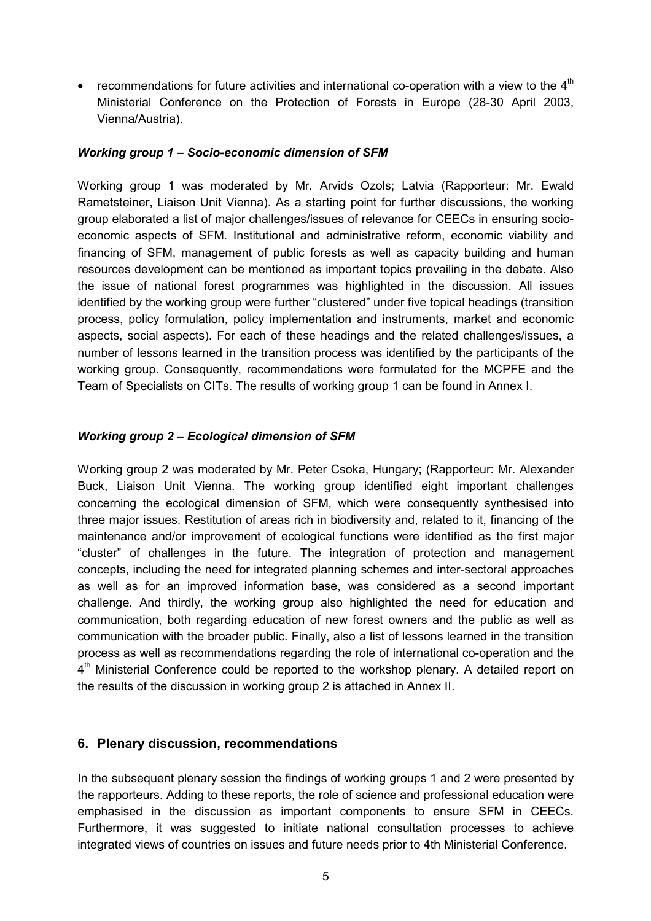• recommendations for future activities and international co-operation with a view to the  $4<sup>th</sup>$ Ministerial Conference on the Protection of Forests in Europe (28-30 April 2003, Vienna/Austria).

#### *Working group 1 – Socio-economic dimension of SFM*

Working group 1 was moderated by Mr. Arvids Ozols; Latvia (Rapporteur: Mr. Ewald Rametsteiner, Liaison Unit Vienna). As a starting point for further discussions, the working group elaborated a list of major challenges/issues of relevance for CEECs in ensuring socioeconomic aspects of SFM. Institutional and administrative reform, economic viability and financing of SFM, management of public forests as well as capacity building and human resources development can be mentioned as important topics prevailing in the debate. Also the issue of national forest programmes was highlighted in the discussion. All issues identified by the working group were further "clustered" under five topical headings (transition process, policy formulation, policy implementation and instruments, market and economic aspects, social aspects). For each of these headings and the related challenges/issues, a number of lessons learned in the transition process was identified by the participants of the working group. Consequently, recommendations were formulated for the MCPFE and the Team of Specialists on CITs. The results of working group 1 can be found in Annex I.

#### *Working group 2 – Ecological dimension of SFM*

Working group 2 was moderated by Mr. Peter Csoka, Hungary; (Rapporteur: Mr. Alexander Buck, Liaison Unit Vienna. The working group identified eight important challenges concerning the ecological dimension of SFM, which were consequently synthesised into three major issues. Restitution of areas rich in biodiversity and, related to it, financing of the maintenance and/or improvement of ecological functions were identified as the first major "cluster" of challenges in the future. The integration of protection and management concepts, including the need for integrated planning schemes and inter-sectoral approaches as well as for an improved information base, was considered as a second important challenge. And thirdly, the working group also highlighted the need for education and communication, both regarding education of new forest owners and the public as well as communication with the broader public. Finally, also a list of lessons learned in the transition process as well as recommendations regarding the role of international co-operation and the 4<sup>th</sup> Ministerial Conference could be reported to the workshop plenary. A detailed report on the results of the discussion in working group 2 is attached in Annex II.

### **6. Plenary discussion, recommendations**

In the subsequent plenary session the findings of working groups 1 and 2 were presented by the rapporteurs. Adding to these reports, the role of science and professional education were emphasised in the discussion as important components to ensure SFM in CEECs. Furthermore, it was suggested to initiate national consultation processes to achieve integrated views of countries on issues and future needs prior to 4th Ministerial Conference.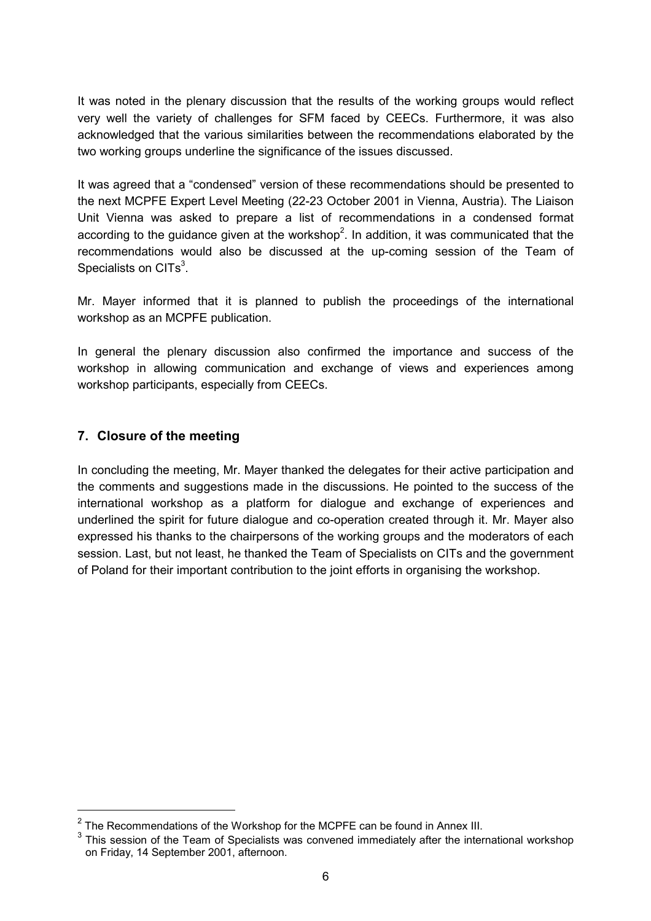It was noted in the plenary discussion that the results of the working groups would reflect very well the variety of challenges for SFM faced by CEECs. Furthermore, it was also acknowledged that the various similarities between the recommendations elaborated by the two working groups underline the significance of the issues discussed.

It was agreed that a "condensed" version of these recommendations should be presented to the next MCPFE Expert Level Meeting (22-23 October 2001 in Vienna, Austria). The Liaison Unit Vienna was asked to prepare a list of recommendations in a condensed format according to the guidance given at the workshop<sup>2</sup>. In addition, it was communicated that the recommendations would also be discussed at the up-coming session of the Team of Specialists on CITs $^3$ .

Mr. Mayer informed that it is planned to publish the proceedings of the international workshop as an MCPFE publication.

In general the plenary discussion also confirmed the importance and success of the workshop in allowing communication and exchange of views and experiences among workshop participants, especially from CEECs.

### **7. Closure of the meeting**

In concluding the meeting, Mr. Mayer thanked the delegates for their active participation and the comments and suggestions made in the discussions. He pointed to the success of the international workshop as a platform for dialogue and exchange of experiences and underlined the spirit for future dialogue and co-operation created through it. Mr. Mayer also expressed his thanks to the chairpersons of the working groups and the moderators of each session. Last, but not least, he thanked the Team of Specialists on CITs and the government of Poland for their important contribution to the joint efforts in organising the workshop.

<sup>2</sup> <sup>2</sup> The Recommendations of the Workshop for the MCPFE can be found in Annex III.<br> $\frac{3}{2}$  This associate of the Team of Openiclists was assumed interactional of the inter-

This session of the Team of Specialists was convened immediately after the international workshop on Friday, 14 September 2001, afternoon.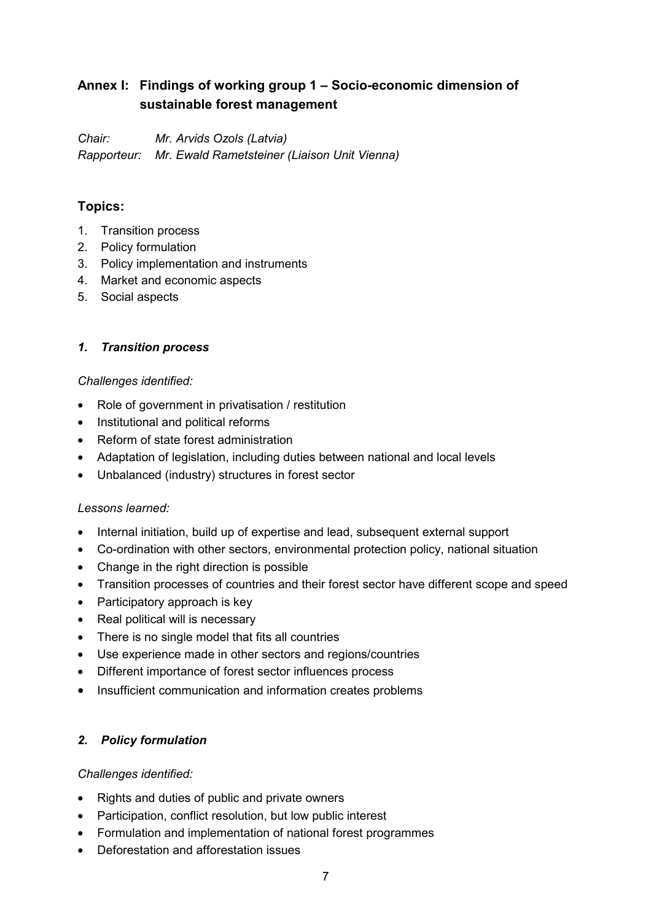## **Annex I: Findings of working group 1 – Socio-economic dimension of sustainable forest management**

*Chair: Mr. Arvids Ozols (Latvia) Rapporteur: Mr. Ewald Rametsteiner (Liaison Unit Vienna)*

### **Topics:**

- 1. Transition process
- 2. Policy formulation
- 3. Policy implementation and instruments
- 4. Market and economic aspects
- 5. Social aspects

### *1. Transition process*

### *Challenges identified:*

- Role of government in privatisation / restitution
- Institutional and political reforms
- Reform of state forest administration
- Adaptation of legislation, including duties between national and local levels
- Unbalanced (industry) structures in forest sector

### *Lessons learned:*

- Internal initiation, build up of expertise and lead, subsequent external support
- Co-ordination with other sectors, environmental protection policy, national situation
- Change in the right direction is possible
- Transition processes of countries and their forest sector have different scope and speed
- Participatory approach is key
- Real political will is necessary
- There is no single model that fits all countries
- Use experience made in other sectors and regions/countries
- Different importance of forest sector influences process
- Insufficient communication and information creates problems

### *2. Policy formulation*

### *Challenges identified:*

- Rights and duties of public and private owners
- Participation, conflict resolution, but low public interest
- Formulation and implementation of national forest programmes
- Deforestation and afforestation issues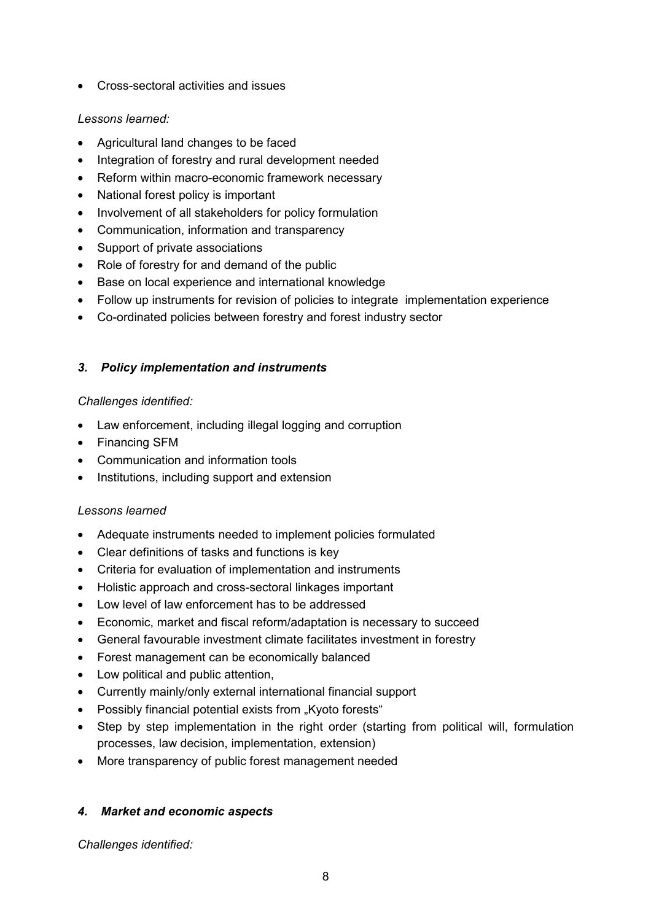• Cross-sectoral activities and issues

#### *Lessons learned:*

- Agricultural land changes to be faced
- Integration of forestry and rural development needed
- Reform within macro-economic framework necessary
- National forest policy is important
- Involvement of all stakeholders for policy formulation
- Communication, information and transparency
- Support of private associations
- Role of forestry for and demand of the public
- Base on local experience and international knowledge
- Follow up instruments for revision of policies to integrate implementation experience
- Co-ordinated policies between forestry and forest industry sector

#### *3. Policy implementation and instruments*

#### *Challenges identified:*

- Law enforcement, including illegal logging and corruption
- Financing SFM
- Communication and information tools
- Institutions, including support and extension

#### *Lessons learned*

- Adequate instruments needed to implement policies formulated
- Clear definitions of tasks and functions is key
- Criteria for evaluation of implementation and instruments
- Holistic approach and cross-sectoral linkages important
- Low level of law enforcement has to be addressed
- Economic, market and fiscal reform/adaptation is necessary to succeed
- General favourable investment climate facilitates investment in forestry
- Forest management can be economically balanced
- Low political and public attention,
- Currently mainly/only external international financial support
- Possibly financial potential exists from "Kyoto forests"
- Step by step implementation in the right order (starting from political will, formulation processes, law decision, implementation, extension)
- More transparency of public forest management needed

### *4. Market and economic aspects*

*Challenges identified:*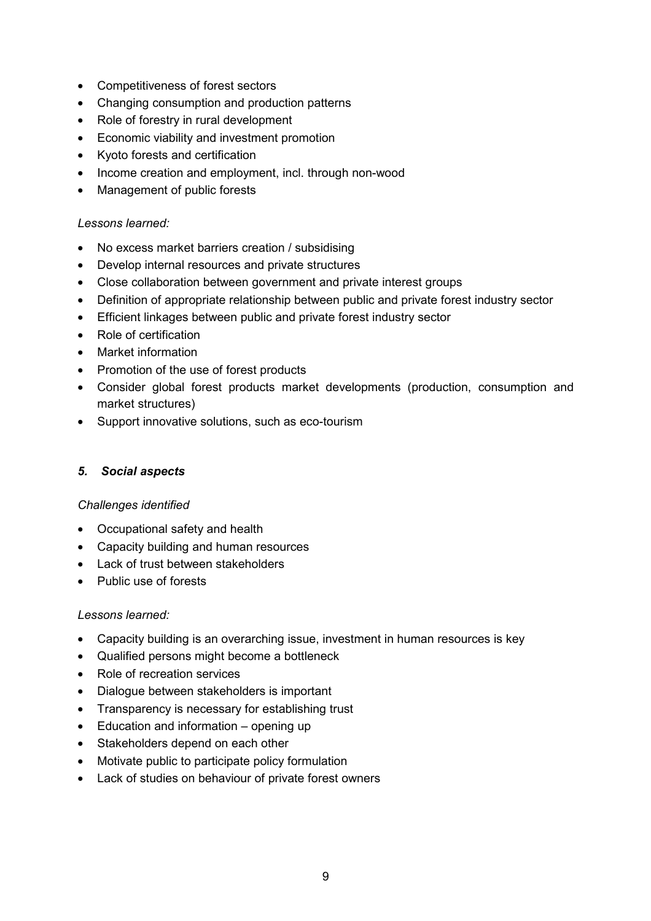- Competitiveness of forest sectors
- Changing consumption and production patterns
- Role of forestry in rural development
- Economic viability and investment promotion
- Kyoto forests and certification
- Income creation and employment, incl. through non-wood
- Management of public forests

#### *Lessons learned:*

- No excess market barriers creation / subsidising
- Develop internal resources and private structures
- Close collaboration between government and private interest groups
- Definition of appropriate relationship between public and private forest industry sector
- Efficient linkages between public and private forest industry sector
- Role of certification
- Market information
- Promotion of the use of forest products
- Consider global forest products market developments (production, consumption and market structures)
- Support innovative solutions, such as eco-tourism

#### *5. Social aspects*

#### *Challenges identified*

- Occupational safety and health
- Capacity building and human resources
- Lack of trust between stakeholders
- Public use of forests

#### *Lessons learned:*

- Capacity building is an overarching issue, investment in human resources is key
- Qualified persons might become a bottleneck
- Role of recreation services
- Dialogue between stakeholders is important
- Transparency is necessary for establishing trust
- Education and information opening up
- Stakeholders depend on each other
- Motivate public to participate policy formulation
- Lack of studies on behaviour of private forest owners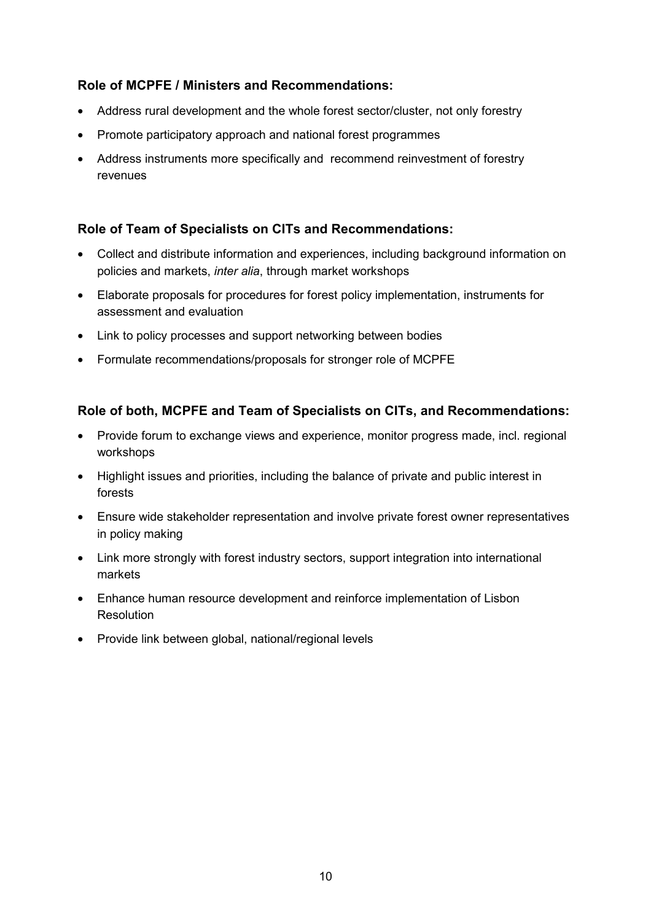### **Role of MCPFE / Ministers and Recommendations:**

- Address rural development and the whole forest sector/cluster, not only forestry
- Promote participatory approach and national forest programmes
- Address instruments more specifically and recommend reinvestment of forestry revenues

### **Role of Team of Specialists on CITs and Recommendations:**

- Collect and distribute information and experiences, including background information on policies and markets, *inter alia*, through market workshops
- Elaborate proposals for procedures for forest policy implementation, instruments for assessment and evaluation
- Link to policy processes and support networking between bodies
- Formulate recommendations/proposals for stronger role of MCPFE

### **Role of both, MCPFE and Team of Specialists on CITs, and Recommendations:**

- Provide forum to exchange views and experience, monitor progress made, incl. regional workshops
- Highlight issues and priorities, including the balance of private and public interest in forests
- Ensure wide stakeholder representation and involve private forest owner representatives in policy making
- Link more strongly with forest industry sectors, support integration into international markets
- Enhance human resource development and reinforce implementation of Lisbon Resolution
- Provide link between global, national/regional levels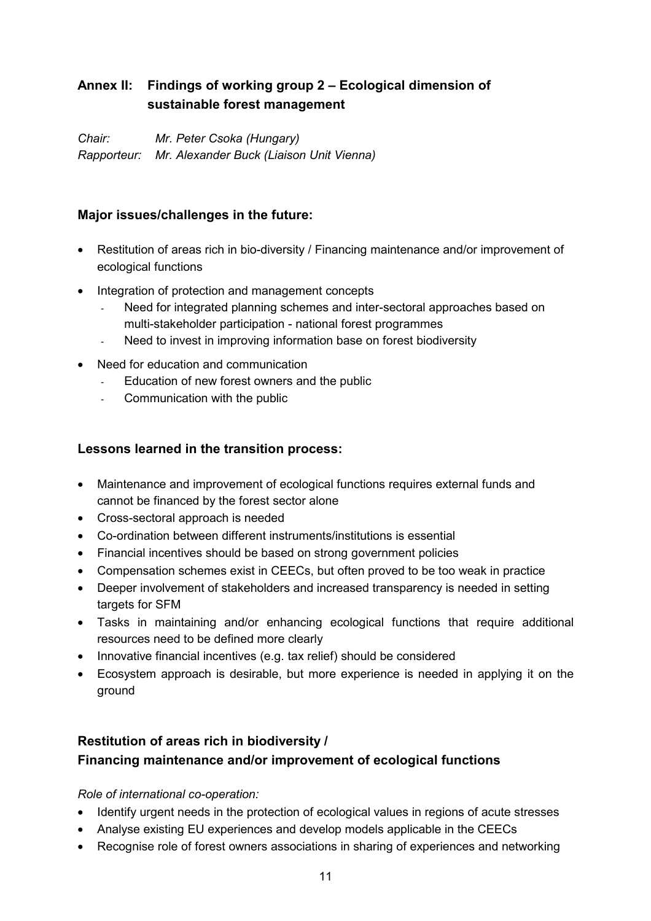## **Annex II: Findings of working group 2 – Ecological dimension of sustainable forest management**

*Chair: Mr. Peter Csoka (Hungary) Rapporteur: Mr. Alexander Buck (Liaison Unit Vienna)*

## **Major issues/challenges in the future:**

- Restitution of areas rich in bio-diversity / Financing maintenance and/or improvement of ecological functions
- Integration of protection and management concepts
	- Need for integrated planning schemes and inter-sectoral approaches based on multi-stakeholder participation - national forest programmes
	- Need to invest in improving information base on forest biodiversity
- Need for education and communication
	- Education of new forest owners and the public
	- Communication with the public

### **Lessons learned in the transition process:**

- Maintenance and improvement of ecological functions requires external funds and cannot be financed by the forest sector alone
- Cross-sectoral approach is needed
- Co-ordination between different instruments/institutions is essential
- Financial incentives should be based on strong government policies
- Compensation schemes exist in CEECs, but often proved to be too weak in practice
- Deeper involvement of stakeholders and increased transparency is needed in setting targets for SFM
- Tasks in maintaining and/or enhancing ecological functions that require additional resources need to be defined more clearly
- Innovative financial incentives (e.g. tax relief) should be considered
- Ecosystem approach is desirable, but more experience is needed in applying it on the ground

## **Restitution of areas rich in biodiversity / Financing maintenance and/or improvement of ecological functions**

### *Role of international co-operation:*

- Identify urgent needs in the protection of ecological values in regions of acute stresses
- Analyse existing EU experiences and develop models applicable in the CEECs
- Recognise role of forest owners associations in sharing of experiences and networking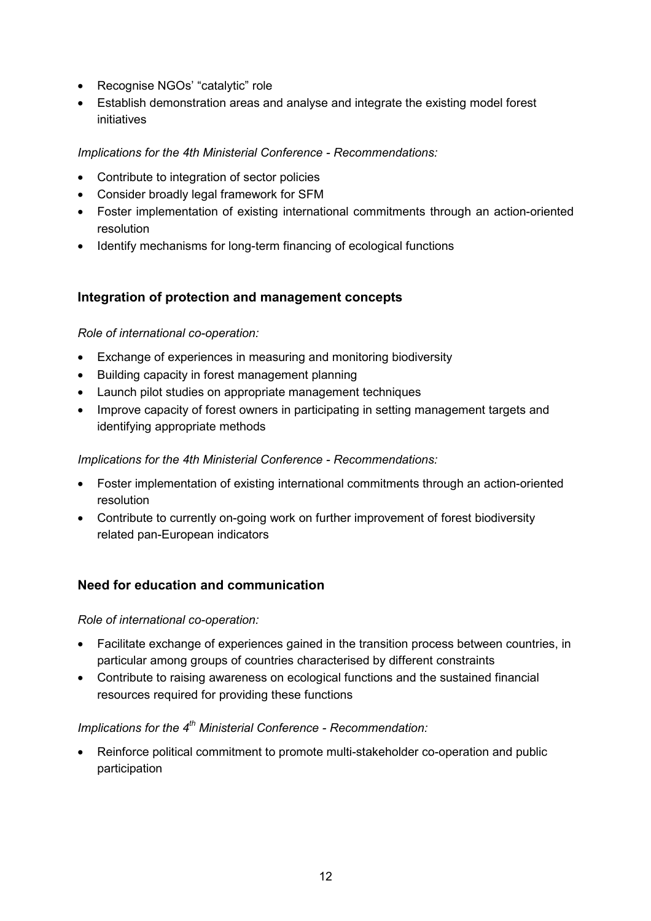- Recognise NGOs' "catalytic" role
- Establish demonstration areas and analyse and integrate the existing model forest initiatives

#### *Implications for the 4th Ministerial Conference - Recommendations:*

- Contribute to integration of sector policies
- Consider broadly legal framework for SFM
- Foster implementation of existing international commitments through an action-oriented resolution
- Identify mechanisms for long-term financing of ecological functions

### **Integration of protection and management concepts**

#### *Role of international co-operation:*

- Exchange of experiences in measuring and monitoring biodiversity
- Building capacity in forest management planning
- Launch pilot studies on appropriate management techniques
- Improve capacity of forest owners in participating in setting management targets and identifying appropriate methods

#### *Implications for the 4th Ministerial Conference - Recommendations:*

- Foster implementation of existing international commitments through an action-oriented resolution
- Contribute to currently on-going work on further improvement of forest biodiversity related pan-European indicators

### **Need for education and communication**

#### *Role of international co-operation:*

- Facilitate exchange of experiences gained in the transition process between countries, in particular among groups of countries characterised by different constraints
- Contribute to raising awareness on ecological functions and the sustained financial resources required for providing these functions

### *Implications for the 4<sup>th</sup> Ministerial Conference - Recommendation:*

• Reinforce political commitment to promote multi-stakeholder co-operation and public participation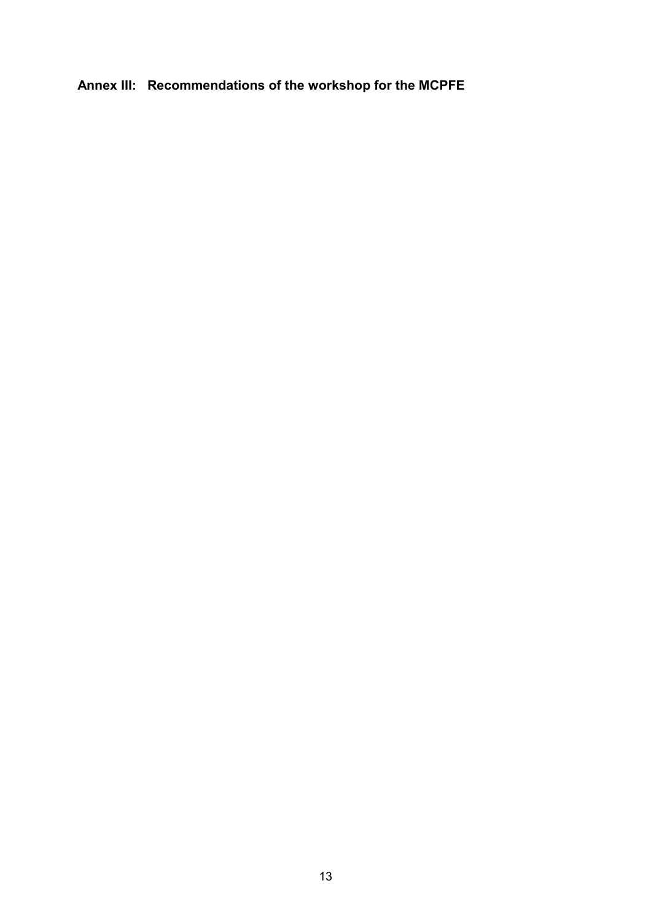**Annex III: Recommendations of the workshop for the MCPFE**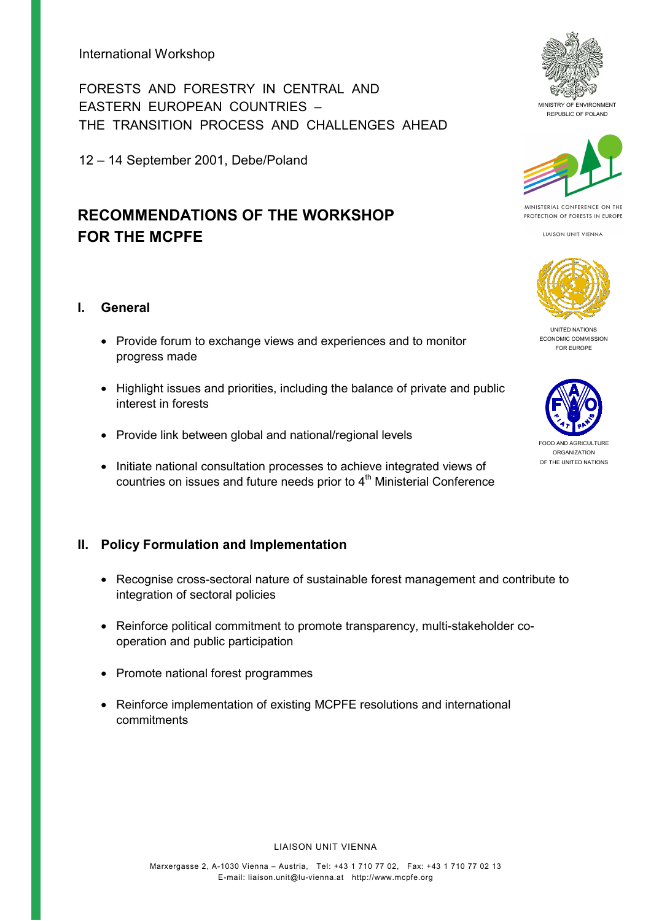International Workshop

FORESTS AND FORESTRY IN CENTRAL AND EASTERN EUROPEAN COUNTRIES – THE TRANSITION PROCESS AND CHALLENGES AHEAD

12 – 14 September 2001, Debe/Poland

# **RECOMMENDATIONS OF THE WORKSHOP FOR THE MCPFE**

### **I. General**

- Provide forum to exchange views and experiences and to monitor progress made
- Highlight issues and priorities, including the balance of private and public interest in forests
- Provide link between global and national/regional levels
- Initiate national consultation processes to achieve integrated views of countries on issues and future needs prior to 4<sup>th</sup> Ministerial Conference

### **II. Policy Formulation and Implementation**

- Recognise cross-sectoral nature of sustainable forest management and contribute to integration of sectoral policies
- Reinforce political commitment to promote transparency, multi-stakeholder cooperation and public participation
- Promote national forest programmes
- Reinforce implementation of existing MCPFE resolutions and international commitments





MINISTERIAL CONFERENCE ON THE PROTECTION OF FORESTS IN EUROPE

LIAISON UNIT VIENNA



UNITED NATIONS ECONOMIC COMMISSION FOR EUROPE



FOOD AND AGRICULTURE ORGANIZATION OF THE UNITED NATIONS

LIAISON UNIT VIENNA